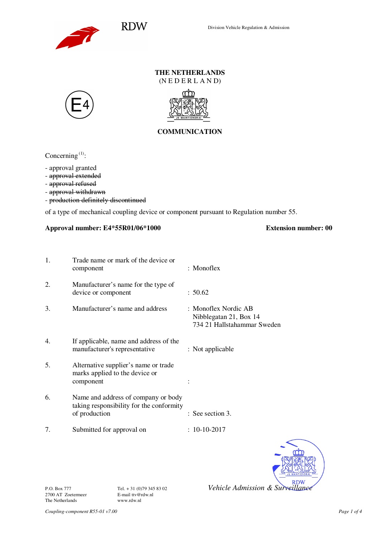

### **THE NETHERLANDS**   $(N E D E R L A N D)$





# **COMMUNICATION**

Concerning<sup>(1)</sup>:

- approval granted

- approval extended
- approval refused
- approval withdrawn
- production definitely discontinued

of a type of mechanical coupling device or component pursuant to Regulation number 55.

## **Approval number: E4\*55R01/06\*1000 Extension number: 00**

| 1. | Trade name or mark of the device or<br>component                                                 | : Monoflex                                                                    |
|----|--------------------------------------------------------------------------------------------------|-------------------------------------------------------------------------------|
| 2. | Manufacturer's name for the type of<br>device or component                                       | : 50.62                                                                       |
| 3. | Manufacturer's name and address                                                                  | : Monoflex Nordic AB<br>Nibblegatan 21, Box 14<br>734 21 Hallstahammar Sweden |
| 4. | If applicable, name and address of the<br>manufacturer's representative                          | : Not applicable                                                              |
| 5. | Alternative supplier's name or trade<br>marks applied to the device or<br>component              |                                                                               |
| 6. | Name and address of company or body<br>taking responsibility for the conformity<br>of production | : See section 3.                                                              |
| 7. | Submitted for approval on                                                                        | $: 10-10-2017$                                                                |



2700 AT Zoetermeer E-mail ttv@rdww.nl The Netherlands

P.O. Box 777 Tel. + 31 (0)79 345 83 02 *Vehicle Admission & Surveillance*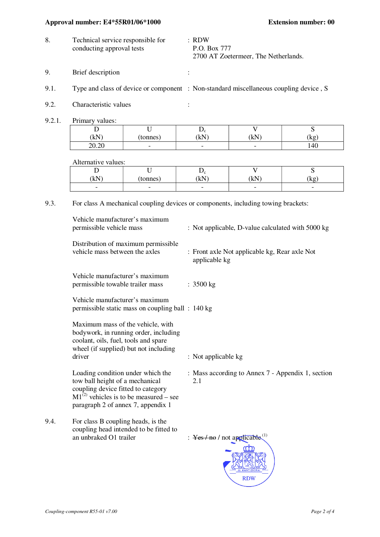## **Approval number: E4\*55R01/06\*1000 Extension number: 00**

- 8. Technical service responsible for conducting approval tests : RDW P.O. Box 777 2700 AT Zoetermeer, The Netherlands.
- 9. Brief description :
- 9.1. Type and class of device or component : Non-standard miscellaneous coupling device , S
- 9.2. Characteristic values :
- 9.2.1. Primary values:

| ∸                                                 |                          | $\mathbf{v}_c$           |                          | ັ   |
|---------------------------------------------------|--------------------------|--------------------------|--------------------------|-----|
| (kN)                                              | tonnes                   | kN                       | (LN)<br>ΔU,              | (kg |
| $\sim$<br>$\Omega$<br>$\triangle$ $\vee$ $\cdots$ | $\overline{\phantom{0}}$ | $\overline{\phantom{0}}$ | $\overline{\phantom{0}}$ | 140 |

Alternative values:

|                          | -<br>-                   | ്ര<br>$\tilde{\phantom{a}}$ | -                        | ັ                        |
|--------------------------|--------------------------|-----------------------------|--------------------------|--------------------------|
| $1-N$<br>'M              | tonnes                   | kN                          | LNT<br>w                 | kg                       |
| $\overline{\phantom{0}}$ | $\overline{\phantom{0}}$ | $\overline{\phantom{0}}$    | $\overline{\phantom{0}}$ | $\overline{\phantom{0}}$ |

9.3. For class A mechanical coupling devices or components, including towing brackets:

|      | Vehicle manufacturer's maximum<br>permissible vehicle mass                                                                                                                                      | : Not applicable, D-value calculated with 5000 kg              |
|------|-------------------------------------------------------------------------------------------------------------------------------------------------------------------------------------------------|----------------------------------------------------------------|
|      | Distribution of maximum permissible<br>vehicle mass between the axles                                                                                                                           | : Front axle Not applicable kg, Rear axle Not<br>applicable kg |
|      | Vehicle manufacturer's maximum<br>permissible towable trailer mass                                                                                                                              | : 3500 kg                                                      |
|      | Vehicle manufacturer's maximum<br>permissible static mass on coupling ball : 140 kg                                                                                                             |                                                                |
|      | Maximum mass of the vehicle, with<br>bodywork, in running order, including<br>coolant, oils, fuel, tools and spare<br>wheel (if supplied) but not including<br>driver                           | : Not applicable kg                                            |
|      | Loading condition under which the<br>tow ball height of a mechanical<br>coupling device fitted to category<br>$M1^{(2)}$ vehicles is to be measured – see<br>paragraph 2 of annex 7, appendix 1 | : Mass according to Annex 7 - Appendix 1, section<br>2.1       |
| 9.4. | For class B coupling heads, is the<br>coupling head intended to be fitted to<br>an unbraked O1 trailer                                                                                          | : $\frac{Yes}{P}$ not applicable <sup>(1)</sup>                |
|      |                                                                                                                                                                                                 | <b>RDW</b>                                                     |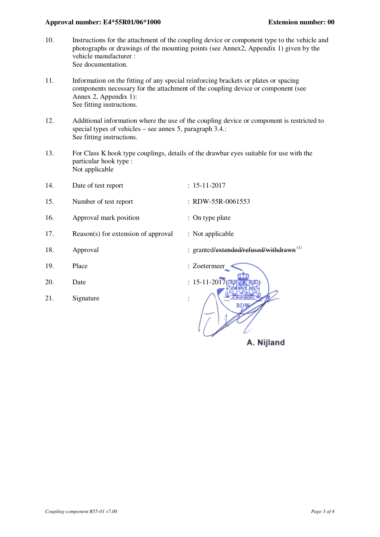#### **Approval number: E4\*55R01/06\*1000 Extension number: 00**

- 10. Instructions for the attachment of the coupling device or component type to the vehicle and photographs or drawings of the mounting points (see Annex2, Appendix 1) given by the vehicle manufacturer : See documentation.
- 11. Information on the fitting of any special reinforcing brackets or plates or spacing components necessary for the attachment of the coupling device or component (see Annex 2, Appendix 1): See fitting instructions.
- 12. Additional information where the use of the coupling device or component is restricted to special types of vehicles – see annex 5, paragraph 3.4.: See fitting instructions.
- 13. For Class K hook type couplings, details of the drawbar eyes suitable for use with the particular hook type : Not applicable

| 14. | Date of test report                 | $: 15 - 11 - 2017$       |
|-----|-------------------------------------|--------------------------|
| 15. | Number of test report               | : RDW-55R-0061553        |
| 16. | Approval mark position              | : On type plate          |
| 17. | Reason(s) for extension of approval | : Not applicable         |
| 18. | Approval                            | : granted/extended/refus |
| 19. | Place                               | : Zoetermeer             |
| 20. | Date                                | : $15 - 11 - 2017$       |
| 21. | Signature                           | $\ddot{\cdot}$           |

A. Nijland